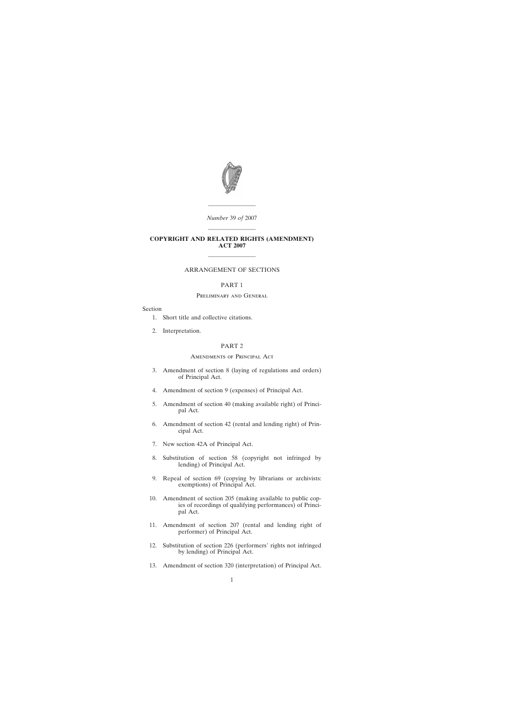

*Number* 39 *of* 2007 ————————

————————

### **COPYRIGHT AND RELATED RIGHTS (AMENDMENT) ACT 2007**

————————

# ARRANGEMENT OF SECTIONS

### PART 1

### Preliminary and General

### Section

- [1. Short title and collective citations.](#page-2-0)
- [2. Interpretation.](#page-2-0)

# PART 2

### Amendments of Principal Act

- [3. Amendment of section 8 \(laying of regulations and orders\)](#page-3-0) of Principal Act.
- [4. Amendment of section 9 \(expenses\) of Principal Act.](#page-3-0)
- [5. Amendment of section 40 \(making available right\) of Princi](#page-3-0)pal Act.
- [6. Amendment of section 42 \(rental and lending right\) of Prin](#page-3-0)cipal Act.
- [7. New section 42A of Principal Act.](#page-3-0)
- [8. Substitution of section 58 \(copyright not infringed by](#page-5-0) lending) of Principal Act.
- [9. Repeal of section 69 \(copying by librarians or archivists:](#page-5-0) exemptions) of Principal Act.
- [10. Amendment of section 205 \(making available to public cop](#page-6-0)ies of recordings of qualifying performances) of Principal Act.
- [11. Amendment of section 207 \(rental and lending right of](#page-6-0) performer) of Principal Act.
- [12. Substitution of section 226 \(performers' rights not infringed](#page-6-0) by lending) of Principal Act.
- [13. Amendment of section 320 \(interpretation\) of Principal Act.](#page-6-0)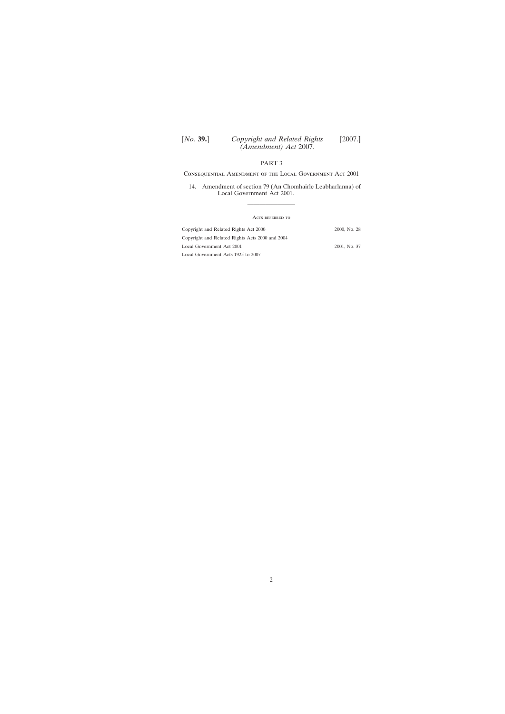# PART 3

Consequential Amendment of the Local Government Act 2001

[14. Amendment of section 79 \(An Chomhairle Leabharlanna\) of](#page-6-0) Local Government Act 2001.

————————

| ACTS REFERRED TO                                |              |
|-------------------------------------------------|--------------|
| Copyright and Related Rights Act 2000           | 2000, No. 28 |
| Copyright and Related Rights Acts 2000 and 2004 |              |
| Local Government Act 2001                       | 2001, No. 37 |
| Local Government Acts 1925 to 2007              |              |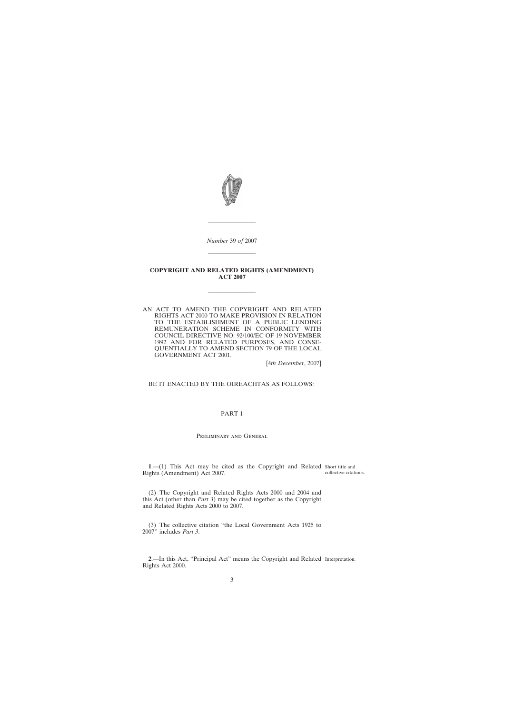<span id="page-2-0"></span>

*Number* 39 *of* 2007

————————

————————

#### **COPYRIGHT AND RELATED RIGHTS (AMENDMENT) ACT 2007**

————————

AN ACT TO AMEND THE COPYRIGHT AND RELATED RIGHTS ACT 2000 TO MAKE PROVISION IN RELATION TO THE ESTABLISHMENT OF A PUBLIC LENDING REMUNERATION SCHEME IN CONFORMITY WITH COUNCIL DIRECTIVE NO. 92/100/EC OF 19 NOVEMBER 1992 AND FOR RELATED PURPOSES, AND CONSE-QUENTIALLY TO AMEND SECTION 79 OF THE LOCAL GOVERNMENT ACT 2001.

[4*th December*, 2007]

BE IT ENACTED BY THE OIREACHTAS AS FOLLOWS:

### PART 1

#### Preliminary and General

**1**.—(1) This Act may be cited as the Copyright and Related Short title and Rights (Amendment) Act 2007. collective citations.

(2) The Copyright and Related Rights Acts 2000 and 2004 and this Act (other than *Part 3*) may be cited together as the Copyright and Related Rights Acts 2000 to 2007.

(3) The collective citation "the Local Government Acts 1925 to 2007" includes *Part 3*.

**2**.—In this Act, "Principal Act" means the Copyright and Related Interpretation.Rights Act 2000.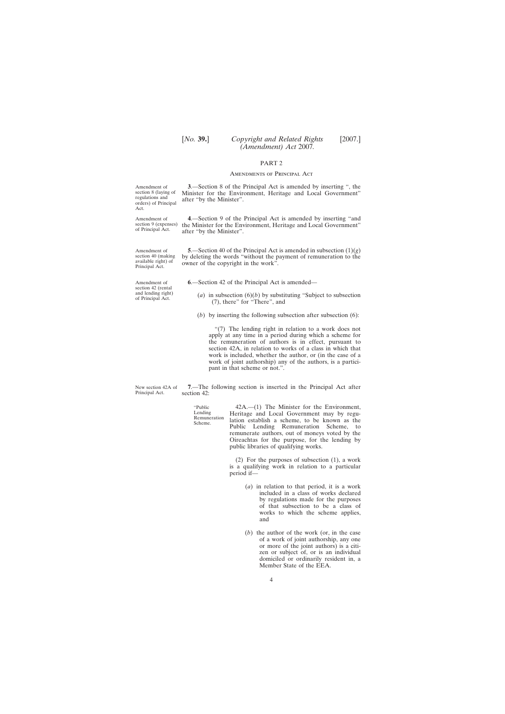### PART 2

#### Amendments of Principal Act

**3**.—Section 8 of the Principal Act is amended by inserting ", the Minister for the Environment, Heritage and Local Government" after "by the Minister".

**4**.—Section 9 of the Principal Act is amended by inserting "and the Minister for the Environment, Heritage and Local Government" after "by the Minister".

**5**.—Section 40 of the Principal Act is amended in subsection (1)(*g*) by deleting the words "without the payment of remuneration to the owner of the copyright in the work".

**6**.—Section 42 of the Principal Act is amended—

- (*a*) in subsection  $(6)(b)$  by substituting "Subject to subsection (7), there" for "There", and
- (*b*) by inserting the following subsection after subsection (6):

"(7) The lending right in relation to a work does not apply at any time in a period during which a scheme for the remuneration of authors is in effect, pursuant to section 42A, in relation to works of a class in which that work is included, whether the author, or (in the case of a work of joint authorship) any of the authors, is a participant in that scheme or not.".

New section 42A of Principal Act. **7**.—The following section is inserted in the Principal Act after section 42:

> "Public Lending Remuneration Scheme. 42A.—(1) The Minister for the Environment, Heritage and Local Government may by regulation establish a scheme, to be known as the Public Lending Remuneration Scheme, to remunerate authors, out of moneys voted by the Oireachtas for the purpose, for the lending by public libraries of qualifying works.

> > (2) For the purposes of subsection (1), a work is a qualifying work in relation to a particular period if—

- (*a*) in relation to that period, it is a work included in a class of works declared by regulations made for the purposes of that subsection to be a class of works to which the scheme applies, and
- (*b*) the author of the work (or, in the case of a work of joint authorship, any one or more of the joint authors) is a citizen or subject of, or is an individual domiciled or ordinarily resident in, a Member State of the EEA.

<span id="page-3-0"></span>Amendment of section 8 (laying of regulations and orders) of Principal Act.

Amendment of section 9 (expenses) of Principal Act.

Amendment of section 40 (making available right) of Principal Act.

Amendment of section 42 (rental and lending right) of Principal Act.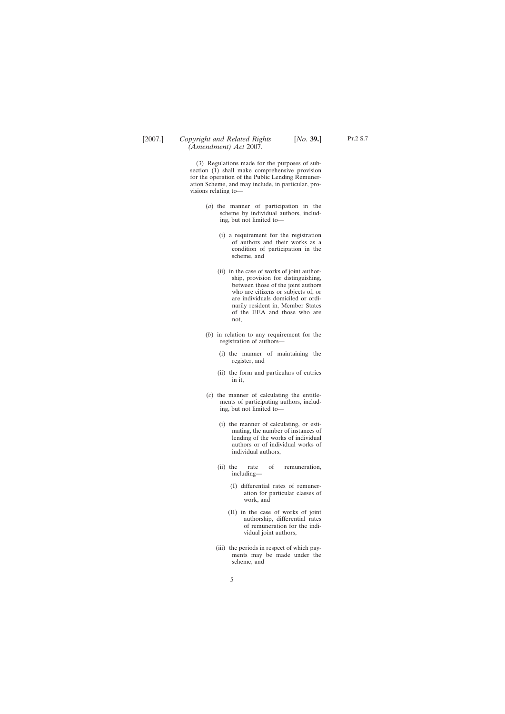(3) Regulations made for the purposes of subsection (1) shall make comprehensive provision for the operation of the Public Lending Remuneration Scheme, and may include, in particular, provisions relating to—

- (*a*) the manner of participation in the scheme by individual authors, including, but not limited to—
	- (i) a requirement for the registration of authors and their works as a condition of participation in the scheme, and
	- (ii) in the case of works of joint authorship, provision for distinguishing, between those of the joint authors who are citizens or subjects of, or are individuals domiciled or ordinarily resident in, Member States of the EEA and those who are not,
- (*b*) in relation to any requirement for the registration of authors—
	- (i) the manner of maintaining the register, and
	- (ii) the form and particulars of entries in it,
- (*c*) the manner of calculating the entitlements of participating authors, including, but not limited to—
	- (i) the manner of calculating, or estimating, the number of instances of lending of the works of individual authors or of individual works of individual authors,
	- (ii) the rate of remuneration, including—
		- (I) differential rates of remuneration for particular classes of work, and
		- (II) in the case of works of joint authorship, differential rates of remuneration for the individual joint authors,
	- (iii) the periods in respect of which payments may be made under the scheme, and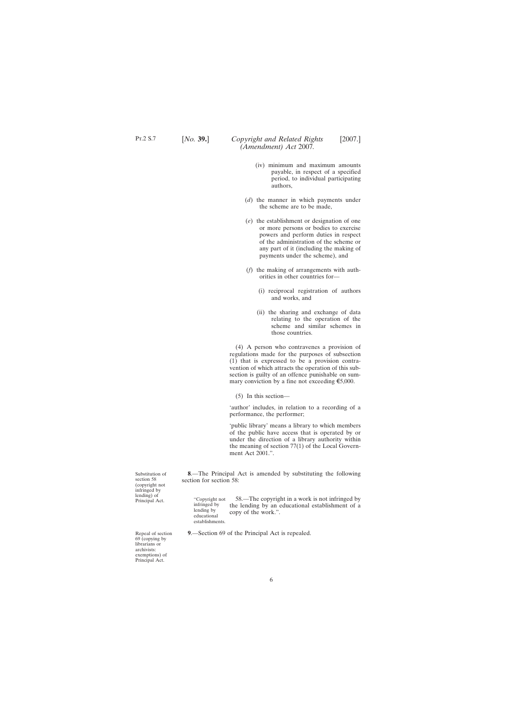- <span id="page-5-0"></span>(iv) minimum and maximum amounts payable, in respect of a specified period, to individual participating authors,
- (*d*) the manner in which payments under the scheme are to be made,
- (*e*) the establishment or designation of one or more persons or bodies to exercise powers and perform duties in respect of the administration of the scheme or any part of it (including the making of payments under the scheme), and
- (*f*) the making of arrangements with authorities in other countries for—
	- (i) reciprocal registration of authors and works, and
	- (ii) the sharing and exchange of data relating to the operation of the scheme and similar schemes in those countries.

(4) A person who contravenes a provision of regulations made for the purposes of subsection (1) that is expressed to be a provision contravention of which attracts the operation of this subsection is guilty of an offence punishable on summary conviction by a fine not exceeding  $\epsilon$ 5,000.

(5) In this section—

'author' includes, in relation to a recording of a performance, the performer;

'public library' means a library to which members of the public have access that is operated by or under the direction of a library authority within the meaning of section 77(1) of the Local Government Act 2001.".

**8**.—The Principal Act is amended by substituting the following section for section 58.

"Copyright not infringed by lending by educational establishments. 58.—The copyright in a work is not infringed by the lending by an educational establishment of a copy of the work.".

**9**.—Section 69 of the Principal Act is repealed.

(copyright not infringed by lending) of Principal Act.

Substitution of section 58

Repeal of section 69 (copying by librarians or archivists: exemptions) of Principal Act.